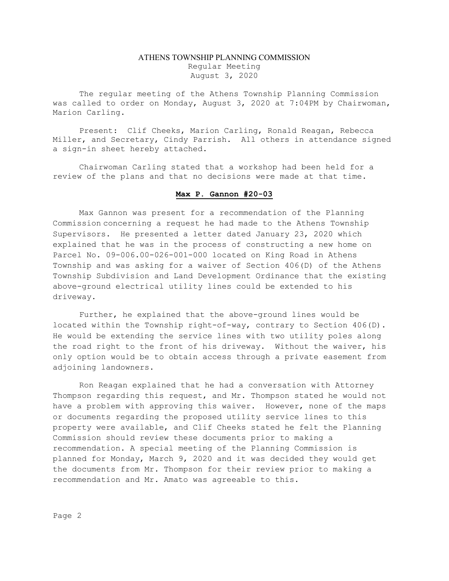## ATHENS TOWNSHIP PLANNING COMMISSION Regular Meeting August 3, 2020

The regular meeting of the Athens Township Planning Commission was called to order on Monday, August 3, 2020 at 7:04PM by Chairwoman, Marion Carling.

Present: Clif Cheeks, Marion Carling, Ronald Reagan, Rebecca Miller, and Secretary, Cindy Parrish. All others in attendance signed a sign-in sheet hereby attached.

Chairwoman Carling stated that a workshop had been held for a review of the plans and that no decisions were made at that time.

## Max P. Gannon #20-03

 Max Gannon was present for a recommendation of the Planning Commission concerning a request he had made to the Athens Township Supervisors. He presented a letter dated January 23, 2020 which explained that he was in the process of constructing a new home on Parcel No. 09-006.00-026-001-000 located on King Road in Athens Township and was asking for a waiver of Section 406(D) of the Athens Township Subdivision and Land Development Ordinance that the existing above-ground electrical utility lines could be extended to his driveway.

Further, he explained that the above-ground lines would be located within the Township right-of-way, contrary to Section 406(D). He would be extending the service lines with two utility poles along the road right to the front of his driveway. Without the waiver, his only option would be to obtain access through a private easement from adjoining landowners.

Ron Reagan explained that he had a conversation with Attorney Thompson regarding this request, and Mr. Thompson stated he would not have a problem with approving this waiver. However, none of the maps or documents regarding the proposed utility service lines to this property were available, and Clif Cheeks stated he felt the Planning Commission should review these documents prior to making a recommendation. A special meeting of the Planning Commission is planned for Monday, March 9, 2020 and it was decided they would get the documents from Mr. Thompson for their review prior to making a recommendation and Mr. Amato was agreeable to this.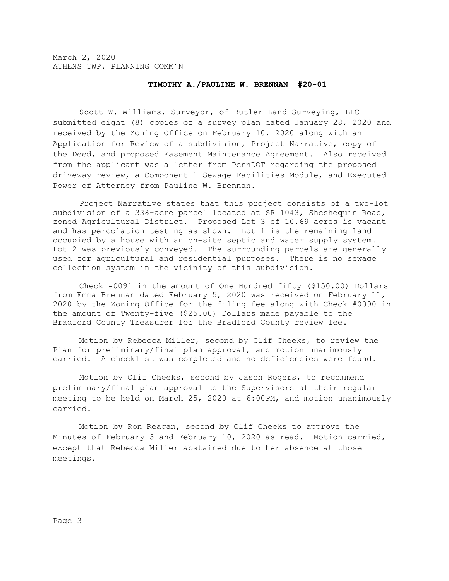March 2, 2020 ATHENS TWP. PLANNING COMM'N

## TIMOTHY A./PAULINE W. BRENNAN #20-01

Scott W. Williams, Surveyor, of Butler Land Surveying, LLC submitted eight (8) copies of a survey plan dated January 28, 2020 and received by the Zoning Office on February 10, 2020 along with an Application for Review of a subdivision, Project Narrative, copy of the Deed, and proposed Easement Maintenance Agreement. Also received from the applicant was a letter from PennDOT regarding the proposed driveway review, a Component 1 Sewage Facilities Module, and Executed Power of Attorney from Pauline W. Brennan.

Project Narrative states that this project consists of a two-lot subdivision of a 338-acre parcel located at SR 1043, Sheshequin Road, zoned Agricultural District. Proposed Lot 3 of 10.69 acres is vacant and has percolation testing as shown. Lot 1 is the remaining land occupied by a house with an on-site septic and water supply system. Lot 2 was previously conveyed. The surrounding parcels are generally used for agricultural and residential purposes. There is no sewage collection system in the vicinity of this subdivision.

Check #0091 in the amount of One Hundred fifty (\$150.00) Dollars from Emma Brennan dated February 5, 2020 was received on February 11, 2020 by the Zoning Office for the filing fee along with Check #0090 in the amount of Twenty-five (\$25.00) Dollars made payable to the Bradford County Treasurer for the Bradford County review fee.

Motion by Rebecca Miller, second by Clif Cheeks, to review the Plan for preliminary/final plan approval, and motion unanimously carried. A checklist was completed and no deficiencies were found.

Motion by Clif Cheeks, second by Jason Rogers, to recommend preliminary/final plan approval to the Supervisors at their regular meeting to be held on March 25, 2020 at 6:00PM, and motion unanimously carried.

Motion by Ron Reagan, second by Clif Cheeks to approve the Minutes of February 3 and February 10, 2020 as read. Motion carried, except that Rebecca Miller abstained due to her absence at those meetings.